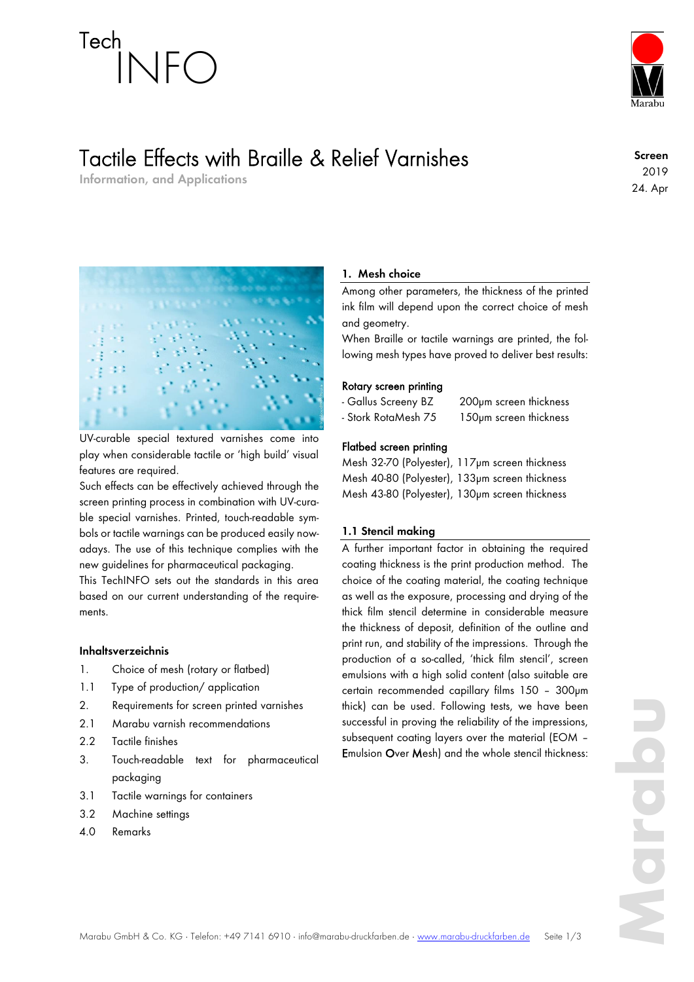# Tech INFO

### Tactile Effects with Braille & Relief Varnishes

**Information, and Applications**

**Screen** 2019 24. Apr



UV-curable special textured varnishes come into play when considerable tactile or 'high build' visual features are required.

Such effects can be effectively achieved through the screen printing process in combination with UV-curable special varnishes. Printed, touch-readable symbols or tactile warnings can be produced easily nowadays. The use of this technique complies with the new guidelines for pharmaceutical packaging.

This TechINFO sets out the standards in this area based on our current understanding of the requirements.

#### **Inhaltsverzeichnis**

- 1. Choice of mesh (rotary or flatbed)
- 1.1 Type of production/ application
- 2. Requirements for screen printed varnishes
- 2.1 Marabu varnish recommendations
- 2.2 Tactile finishes
- 3. Touch-readable text for pharmaceutical packaging
- 3.1 Tactile warnings for containers
- 3.2 Machine settings
- 4.0 Remarks

#### **1. Mesh choice**

Among other parameters, the thickness of the printed ink film will depend upon the correct choice of mesh and geometry.

When Braille or tactile warnings are printed, the following mesh types have proved to deliver best results:

#### Rotary screen printing

- Gallus Screeny BZ 200µm screen thickness

- Stork RotaMesh 75 150µm screen thickness

### Flatbed screen printing

Mesh 32-70 (Polyester), 117µm screen thickness Mesh 40-80 (Polyester), 133µm screen thickness Mesh 43-80 (Polyester), 130µm screen thickness

#### **1.1 Stencil making**

A further important factor in obtaining the required coating thickness is the print production method. The choice of the coating material, the coating technique as well as the exposure, processing and drying of the thick film stencil determine in considerable measure the thickness of deposit, definition of the outline and print run, and stability of the impressions. Through the production of a so-called, 'thick film stencil', screen emulsions with a high solid content (also suitable are certain recommended capillary films 150 – 300µm thick) can be used. Following tests, we have been successful in proving the reliability of the impressions, subsequent coating layers over the material (EOM – Emulsion Over Mesh) and the whole stencil thickness: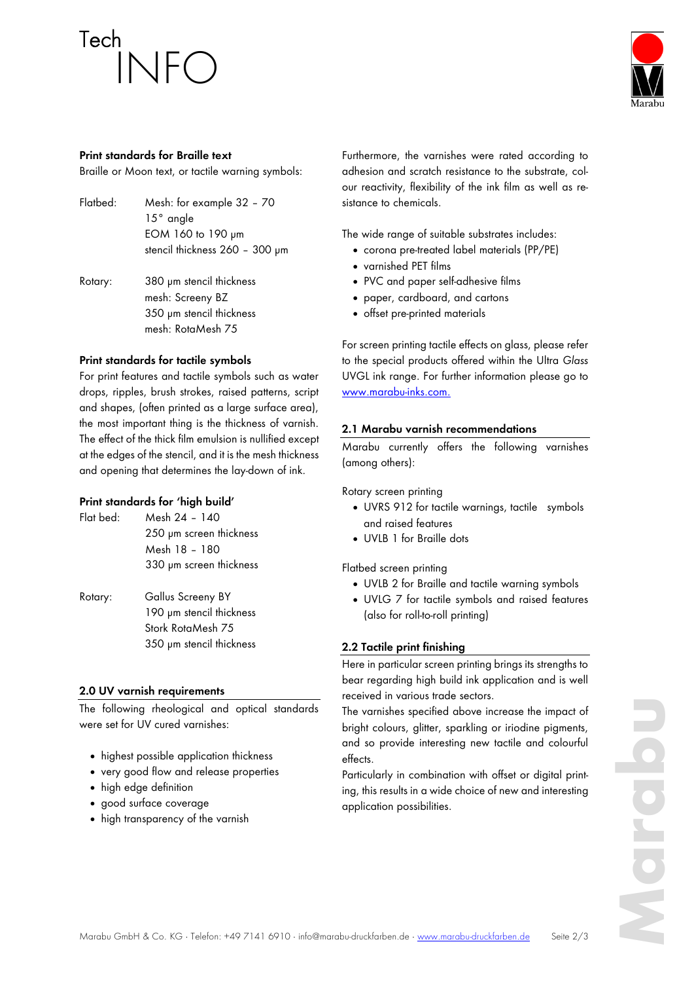## Tech INFO



#### **Print standards for Braille text**

Braille or Moon text, or tactile warning symbols:

- Flatbed: Mesh: for example 32 70 15° angle EOM 160 to 190 µm stencil thickness 260 - 300 um
- Rotary: 380 µm stencil thickness mesh: Screeny BZ 350 µm stencil thickness mesh: RotaMesh 75

#### **Print standards for tactile symbols**

For print features and tactile symbols such as water drops, ripples, brush strokes, raised patterns, script and shapes, (often printed as a large surface area), the most important thing is the thickness of varnish. The effect of the thick film emulsion is nullified except at the edges of the stencil, and it is the mesh thickness and opening that determines the lay-down of ink.

#### **Print standards for 'high build'**

| $Flat$ hed: | Mesh 24 - 140                                                      |
|-------------|--------------------------------------------------------------------|
|             | 250 µm screen thickness                                            |
|             | Mesh 18 - 180                                                      |
|             | 330 µm screen thickness                                            |
| Rotary:     | Gallus Screeny BY<br>190 µm stencil thickness<br>Stork RotaMesh 75 |

#### **2.0 UV varnish requirements**

The following rheological and optical standards were set for UV cured varnishes:

350 µm stencil thickness

- highest possible application thickness
- very good flow and release properties
- high edge definition
- good surface coverage
- high transparency of the varnish

Furthermore, the varnishes were rated according to adhesion and scratch resistance to the substrate, colour reactivity, flexibility of the ink film as well as resistance to chemicals.

The wide range of suitable substrates includes:

- corona pre-treated label materials (PP/PE)
- varnished PET films
- PVC and paper self-adhesive films
- paper, cardboard, and cartons
- offset pre-printed materials

For screen printing tactile effects on glass, please refer to the special products offered within the Ultra *Glass* UVGL ink range. For further information please go to www.marabu-inks.com.

#### **2.1 Marabu varnish recommendations**

Marabu currently offers the following varnishes (among others):

Rotary screen printing

- UVRS 912 for tactile warnings, tactile symbols and raised features
- UVLB 1 for Braille dots

Flatbed screen printing

- UVLB 2 for Braille and tactile warning symbols
- UVLG 7 for tactile symbols and raised features (also for roll-to-roll printing)

#### **2.2 Tactile print finishing**

Here in particular screen printing brings its strengths to bear regarding high build ink application and is well received in various trade sectors.

The varnishes specified above increase the impact of bright colours, glitter, sparkling or iriodine pigments, and so provide interesting new tactile and colourful effects.

Particularly in combination with offset or digital printing, this results in a wide choice of new and interesting application possibilities.